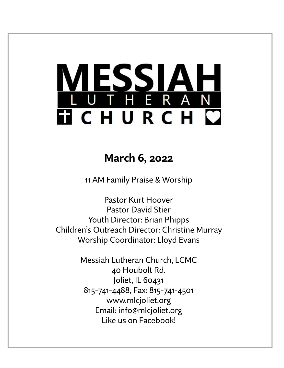# LESSIAH<br>UTHERAN **TICHURCH C**

# **March 6, 2022**

11 AM Family Praise & Worship

Pastor Kurt Hoover Pastor David Stier Youth Director: Brian Phipps Children's Outreach Director: Christine Murray Worship Coordinator: Lloyd Evans

> Messiah Lutheran Church, LCMC 40 Houbolt Rd. Joliet, IL 60431 815-741-4488, Fax: 815-741-4501 www.mlcjoliet.org Email: info@mlcjoliet.org Like us on Facebook!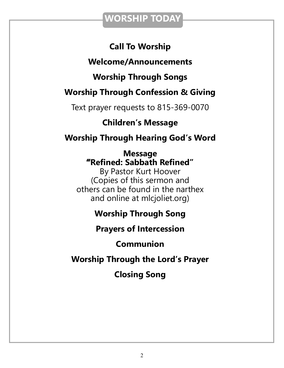## **WORSHIP TODAY**

## **Call To Worship**

## **Welcome/Announcements**

## **Worship Through Songs**

## **Worship Through Confession & Giving**

Text prayer requests to 815-369-0070

## **Children's Message**

**Worship Through Hearing God's Word**

### **Message "Refined: Sabbath Refined"**

By Pastor Kurt Hoover (Copies of this sermon and others can be found in the narthex and online at mlcjoliet.org)

## **Worship Through Song**

## **Prayers of Intercession**

## **Communion**

## **Worship Through the Lord's Prayer**

# **Closing Song**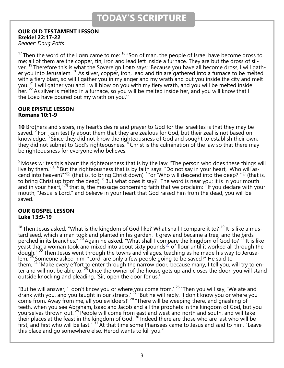#### **OUR OLD TESTAMENT LESSON Ezekiel 22:17-22**

*Reader: Doug Potts*

<sup>17</sup> Then the word of the Lorp came to me:  $18$  "Son of man, the people of Israel have become dross to me; all of them are the copper, tin, iron and lead left inside a furnace. They are but the dross of silver. <sup>19</sup> Therefore this is what the Sovereign Lord says: 'Because you have all become dross, I will gather you into Jerusalem. <sup>20</sup> As silver, copper, iron, lead and tin are gathered into a furnace to be melted with a fiery blast, so will I gather you in my anger and my wrath and put you inside the city and melt you. <sup>21</sup> I will gather you and I will blow on you with my fiery wrath, and you will be melted inside her. <sup>22</sup> As silver is melted in a furnace, so you will be melted inside her, and you will know that I the Lord have poured out my wrath on you."

#### **OUR EPISTLE LESSON Romans 10:1-9**

**10** Brothers and sisters, my heart's desire and prayer to God for the Israelites is that they may be saved. <sup>2</sup> For I can testify about them that they are zealous for God, but their zeal is not based on knowledge.  $3$  Since they did not know the righteousness of God and sought to establish their own, they did not submit to God's righteousness.  $4$  Christ is the culmination of the law so that there may be righteousness for everyone who believes.

<sup>5</sup> Moses writes this about the righteousness that is by the law: "The person who does these things will live by them."<sup>[\[a\]](https://www.biblegateway.com/passage/?search=Romans+10%3A1-9&version=NIV#fen-NIV-28194a) 6</sup> But the righteousness that is by faith says: "Do not say in your heart, 'Who will as-cend into heaven?'"<sup>[\[b\]](https://www.biblegateway.com/passage/?search=Romans+10%3A1-9&version=NIV#fen-NIV-28195b)</sup> (that is, to bring Christ down) <sup>7</sup> "or 'Who will descend into the deep?'"<sup>[[c\]](https://www.biblegateway.com/passage/?search=Romans+10%3A1-9&version=NIV#fen-NIV-28196c)</sup> (that is, to bring Christ up from the dead). <sup>8</sup> But what does it say? "The word is near you; it is in your mouth and in your heart,"<sup>[\[d\]](https://www.biblegateway.com/passage/?search=Romans+10%3A1-9&version=NIV#fen-NIV-28197d)</sup> that is, the message concerning faith that we proclaim: <sup>9</sup> If you declare with your mouth, "Jesus is Lord," and believe in your heart that God raised him from the dead, you will be saved.

#### **OUR GOSPEL LESSON Luke 13:9-19**

<sup>18</sup> Then Jesus asked, "What is the kingdom of God like? What shall I compare it to? <sup>19</sup> It is like a mustard seed, which a man took and planted in his garden. It grew and became a tree, and the birds perched in its branches." <sup>20</sup> Again he asked, "What shall I compare the kingdom of God to? <sup>21</sup> It is like veast that a woman took and mixed into about sixty pounds<sup>[\[a\]](https://www.biblegateway.com/passage/?search=luke+13%3A18-31&version=NIV#fen-NIV-25540a)</sup> of flour until it worked all through the dough."  $^{22}$  Then Jesus went through the towns and villages, teaching as he made his way to Jerusalem.<sup> $23$ </sup> Someone asked him, "Lord, are only a few people going to be saved?" He said to them, <sup>24</sup> "Make every effort to enter through the narrow door, because many, I tell you, will try to enter and will not be able to. <sup>25</sup> Once the owner of the house gets up and closes the door, you will stand outside knocking and pleading, 'Sir, open the door for us.'

"But he will answer, 'I don't know you or where you come from.'  $26$  "Then you will say, 'We ate and drank with you, and you taught in our streets.' <sup>27</sup> "But he will reply, 'I don't know you or where you come from. Away from me, all you evildoers!'  $^{28}$  "There will be weeping there, and gnashing of teeth, when you see Abraham, Isaac and Jacob and all the prophets in the kingdom of God, but you yourselves thrown out.<sup>29</sup> People will come from east and west and north and south, and will take their places at the feast in the kingdom of God.  $^{30}$  Indeed there are those who are last who will be first, and first who will be last."  $^{31}$  At that time some Pharisees came to Jesus and said to him, "Leave this place and go somewhere else. Herod wants to kill you."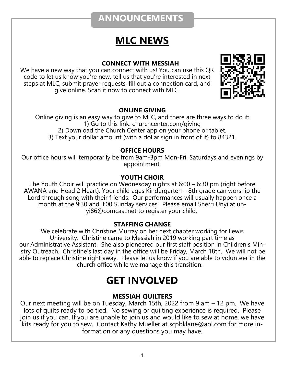## **ANNOUNCEMENTS**

# **MLC NEWS**

#### **CONNECT WITH MESSIAH**

We have a new way that you can connect with us! You can use this QR code to let us know you're new, tell us that you're interested in next steps at MLC, submit prayer requests, fill out a connection card, and give online. Scan it now to connect with MLC.



#### **ONLINE GIVING**

Online giving is an easy way to give to MLC, and there are three ways to do it: 1) Go to this link: churchcenter.com/giving 2) Download the Church Center app on your phone or tablet. 3) Text your dollar amount (with a dollar sign in front of it) to 84321.

#### **OFFICE HOURS**

Our office hours will temporarily be from 9am-3pm Mon-Fri. Saturdays and evenings by appointment.

#### **YOUTH CHOIR**

The Youth Choir will practice on Wednesday nights at 6:00 – 6:30 pm (right before AWANA and Head 2 Heart). Your child ages Kindergarten – 8th grade can worship the Lord through song with their friends. Our performances will usually happen once a month at the 9:30 and ll:00 Sunday services. Please email Sherri Unyi at unyi86@comcast.net to register your child.

#### **STAFFING CHANGE**

We celebrate with Christine Murray on her next chapter working for Lewis University. Christine came to Messiah in 2019 working part time as our Administrative Assistant. She also pioneered our first staff position in Children's Ministry Outreach. Christine's last day in the office will be Friday, March 18th. We will not be able to replace Christine right away. Please let us know if you are able to volunteer in the church office while we manage this transition.

# **GET INVOLVED**

#### **MESSIAH QUILTERS**

Our next meeting will be on Tuesday, March 15th, 2022 from 9 am – 12 pm. We have lots of quilts ready to be tied. No sewing or quilting experience is required. Please join us if you can. If you are unable to join us and would like to sew at home, we have kits ready for you to sew. Contact Kathy Mueller at scpbklane@aol.com for more information or any questions you may have.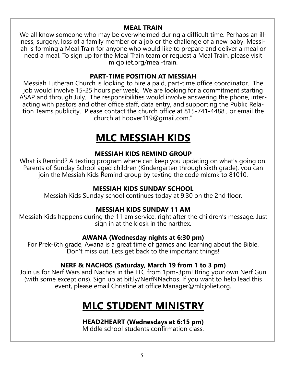#### **MEAL TRAIN**

We all know someone who may be overwhelmed during a difficult time. Perhaps an illness, surgery, loss of a family member or a job or the challenge of a new baby. Messiah is forming a Meal Train for anyone who would like to prepare and deliver a meal or need a meal. To sign up for the Meal Train team or request a Meal Train, please visit mlcjoliet.org/meal-train.

#### **PART-TIME POSITION AT MESSIAH**

Messiah Lutheran Church is looking to hire a paid, part-time office coordinator. The job would involve 15-25 hours per week. We are looking for a commitment starting ASAP and through July. The responsibilities would involve answering the phone, interacting with pastors and other office staff, data entry, and supporting the Public Relation Teams publicity. Please contact the church office at 815-741-4488 , or email the church at hoover119@gmail.com."

# **MLC MESSIAH KIDS**

#### **MESSIAH KIDS REMIND GROUP**

What is Remind? A texting program where can keep you updating on what's going on. Parents of Sunday School aged children (Kindergarten through sixth grade), you can join the Messiah Kids Remind group by texting the code mlcmk to 81010.

#### **MESSIAH KIDS SUNDAY SCHOOL**

Messiah Kids Sunday school continues today at 9:30 on the 2nd floor.

#### **MESSIAH KIDS SUNDAY 11 AM**

Messiah Kids happens during the 11 am service, right after the children's message. Just sign in at the kiosk in the narthex.

#### **AWANA (Wednesday nights at 6:30 pm)**

For Prek-6th grade, Awana is a great time of games and learning about the Bible. Don't miss out. Lets get back to the important things!

#### **NERF & NACHOS (Saturday, March 19 from 1 to 3 pm)**

Join us for Nerf Wars and Nachos in the FLC from 1pm-3pm! Bring your own Nerf Gun (with some exceptions). Sign up at bit.ly/NerfNNachos. If you want to help lead this event, please email Christine at office.Manager@mlcjoliet.org.

# **MLC STUDENT MINISTRY**

#### **HEAD2HEART (Wednesdays at 6:15 pm)**

Middle school students confirmation class.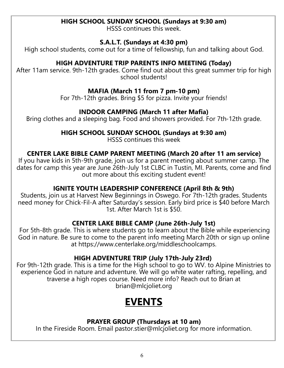#### **HIGH SCHOOL SUNDAY SCHOOL (Sundays at 9:30 am)**

HSSS continues this week.

#### **S.A.L.T. (Sundays at 4:30 pm)**

High school students, come out for a time of fellowship, fun and talking about God.

#### **HIGH ADVENTURE TRIP PARENTS INFO MEETING (Today)**

After 11am service. 9th-12th grades. Come find out about this great summer trip for high school students!

#### **MAFIA (March 11 from 7 pm-10 pm)**

For 7th-12th grades. Bring \$5 for pizza. Invite your friends!

#### **INDOOR CAMPING (March 11 after Mafia)**

Bring clothes and a sleeping bag. Food and showers provided. For 7th-12th grade.

#### **HIGH SCHOOL SUNDAY SCHOOL (Sundays at 9:30 am)**

HSSS continues this week

#### **CENTER LAKE BIBLE CAMP PARENT MEETING (March 20 after 11 am service)**

If you have kids in 5th-9th grade, join us for a parent meeting about summer camp. The dates for camp this year are June 26th-July 1st CLBC in Tustin, MI. Parents, come and find out more about this exciting student event!

#### **IGNITE YOUTH LEADERSHIP CONFERENCE (April 8th & 9th)**

Students, join us at Harvest New Beginnings in Oswego. For 7th-12th grades. Students need money for Chick-Fil-A after Saturday's session. Early bird price is \$40 before March 1st. After March 1st is \$50.

#### **CENTER LAKE BIBLE CAMP (June 26th-July 1st)**

For 5th-8th grade. This is where students go to learn about the Bible while experiencing God in nature. Be sure to come to the parent info meeting March 20th or sign up online at https://www.centerlake.org/middleschoolcamps.

#### **HIGH ADVENTURE TRIP (July 17th-July 23rd)**

For 9th-12th grade. This is a time for the High school to go to WV. to Alpine Ministries to experience God in nature and adventure. We will go white water rafting, repelling, and traverse a high ropes course. Need more info? Reach out to Brian at brian@mlcjoliet.org

# **EVENTS**

#### **PRAYER GROUP (Thursdays at 10 am)**

In the Fireside Room. Email pastor.stier@mlcjoliet.org for more information.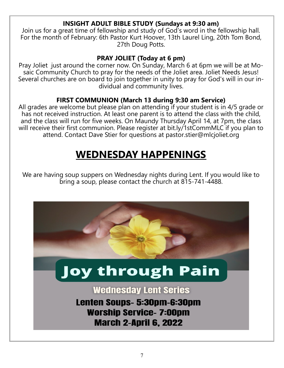#### **INSIGHT ADULT BIBLE STUDY (Sundays at 9:30 am)**

Join us for a great time of fellowship and study of God's word in the fellowship hall. For the month of February: 6th Pastor Kurt Hoover, 13th Laurel Ling, 20th Tom Bond, 27th Doug Potts.

#### **PRAY JOLIET (Today at 6 pm)**

Pray Joliet just around the corner now. On Sunday, March 6 at 6pm we will be at Mosaic Community Church to pray for the needs of the Joliet area. Joliet Needs Jesus! Several churches are on board to join together in unity to pray for God's will in our individual and community lives.

#### **FIRST COMMUNION (March 13 during 9:30 am Service)**

All grades are welcome but please plan on attending if your student is in 4/5 grade or has not received instruction. At least one parent is to attend the class with the child, and the class will run for five weeks. On Maundy Thursday April 14, at 7pm, the class will receive their first communion. Please register at bit.ly/1stCommMLC if you plan to attend. Contact Dave Stier for questions at pastor.stier@mlcjoliet.org

# **WEDNESDAY HAPPENINGS**

We are having soup suppers on Wednesday nights during Lent. If you would like to bring a soup, please contact the church at 815-741-4488.



**March 2-April 6, 2022**